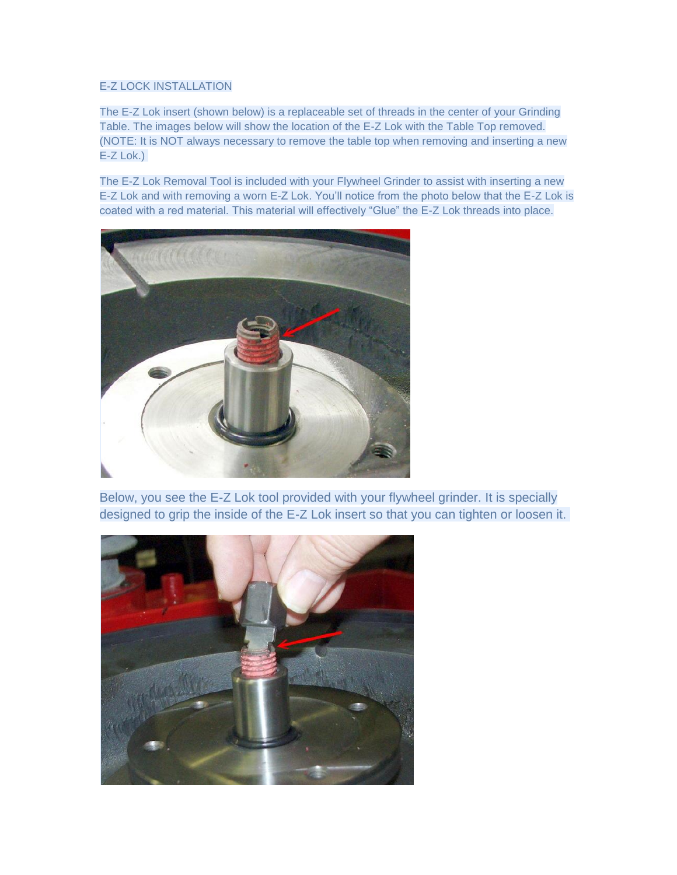## E-Z LOCK INSTALLATION

The E-Z Lok insert (shown below) is a replaceable set of threads in the center of your Grinding Table. The images below will show the location of the E-Z Lok with the Table Top removed. (NOTE: It is NOT always necessary to remove the table top when removing and inserting a new E-Z Lok.)

The E-Z Lok Removal Tool is included with your Flywheel Grinder to assist with inserting a new E-Z Lok and with removing a worn E-Z Lok. You'll notice from the photo below that the E-Z Lok is coated with a red material. This material will effectively "Glue" the E-Z Lok threads into place.



Below, you see the E-Z Lok tool provided with your flywheel grinder. It is specially designed to grip the inside of the E-Z Lok insert so that you can tighten or loosen it.